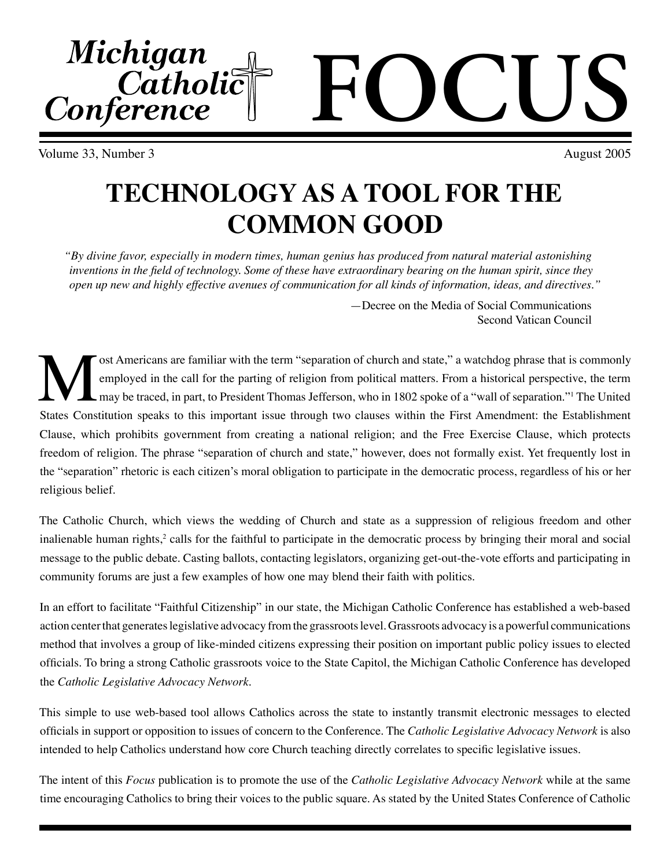Volume 33, Number 3 August 2005

Michigan<br>Catholic<br>Conference

# **TECHNOLOGY AS A TOOL FOR THE COMMON GOOD**

*"By divine favor, especially in modern times, human genius has produced from natural material astonishing inventions in the field of technology. Some of these have extraordinary bearing on the human spirit, since they open up new and highly effective avenues of communication for all kinds of information, ideas, and directives."*

> —Decree on the Media of Social Communications Second Vatican Council

**FOCUS**

ost Americans are familiar with the term "separation of church and state," a watchdog phrase that is commonly<br>employed in the call for the parting of religion from political matters. From a historical perspective, the term employed in the call for the parting of religion from political matters. From a historical perspective, the term may be traced, in part, to President Thomas Jefferson, who in 1802 spoke of a "wall of separation."1 The United Clause, which prohibits government from creating a national religion; and the Free Exercise Clause, which protects freedom of religion. The phrase "separation of church and state," however, does not formally exist. Yet frequently lost in the "separation" rhetoric is each citizen's moral obligation to participate in the democratic process, regardless of his or her religious belief.

The Catholic Church, which views the wedding of Church and state as a suppression of religious freedom and other inalienable human rights,<sup>2</sup> calls for the faithful to participate in the democratic process by bringing their moral and social message to the public debate. Casting ballots, contacting legislators, organizing get-out-the-vote efforts and participating in community forums are just a few examples of how one may blend their faith with politics.

In an effort to facilitate "Faithful Citizenship" in our state, the Michigan Catholic Conference has established a web-based action center that generates legislative advocacy from the grassroots level. Grassroots advocacy is a powerful communications method that involves a group of like-minded citizens expressing their position on important public policy issues to elected officials. To bring a strong Catholic grassroots voice to the State Capitol, the Michigan Catholic Conference has developed the *Catholic Legislative Advocacy Network*.

This simple to use web-based tool allows Catholics across the state to instantly transmit electronic messages to elected officials in support or opposition to issues of concern to the Conference. The *Catholic Legislative Advocacy Network* is also intended to help Catholics understand how core Church teaching directly correlates to specific legislative issues.

The intent of this *Focus* publication is to promote the use of the *Catholic Legislative Advocacy Network* while at the same time encouraging Catholics to bring their voices to the public square. As stated by the United States Conference of Catholic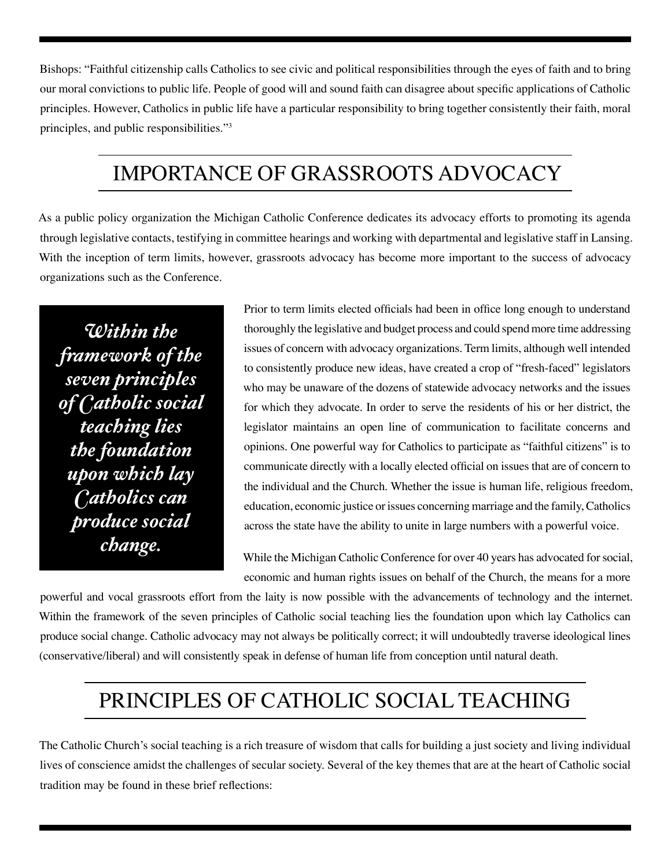Bishops: "Faithful citizenship calls Catholics to see civic and political responsibilities through the eyes of faith and to bring our moral convictions to public life. People of good will and sound faith can disagree about specific applications of Catholic principles. However, Catholics in public life have a particular responsibility to bring together consistently their faith, moral principles, and public responsibilities."3

# IMPORTANCE OF GRASSROOTS ADVOCACY

As a public policy organization the Michigan Catholic Conference dedicates its advocacy efforts to promoting its agenda through legislative contacts, testifying in committee hearings and working with departmental and legislative staff in Lansing. With the inception of term limits, however, grassroots advocacy has become more important to the success of advocacy organizations such as the Conference.

*Within the framework of the seven principles of Catholic social teaching lies the foundation upon which lay Catholics can produce social change.*

Prior to term limits elected officials had been in office long enough to understand thoroughly the legislative and budget process and could spend more time addressing issues of concern with advocacy organizations. Term limits, although well intended to consistently produce new ideas, have created a crop of "fresh-faced" legislators who may be unaware of the dozens of statewide advocacy networks and the issues for which they advocate. In order to serve the residents of his or her district, the legislator maintains an open line of communication to facilitate concerns and opinions. One powerful way for Catholics to participate as "faithful citizens" is to communicate directly with a locally elected official on issues that are of concern to the individual and the Church. Whether the issue is human life, religious freedom, education, economic justice or issues concerning marriage and the family, Catholics across the state have the ability to unite in large numbers with a powerful voice.

While the Michigan Catholic Conference for over 40 years has advocated for social, economic and human rights issues on behalf of the Church, the means for a more

powerful and vocal grassroots effort from the laity is now possible with the advancements of technology and the internet. Within the framework of the seven principles of Catholic social teaching lies the foundation upon which lay Catholics can produce social change. Catholic advocacy may not always be politically correct; it will undoubtedly traverse ideological lines (conservative/liberal) and will consistently speak in defense of human life from conception until natural death.

# PRINCIPLES OF CATHOLIC SOCIAL TEACHING

The Catholic Church's social teaching is a rich treasure of wisdom that calls for building a just society and living individual lives of conscience amidst the challenges of secular society. Several of the key themes that are at the heart of Catholic social tradition may be found in these brief reflections: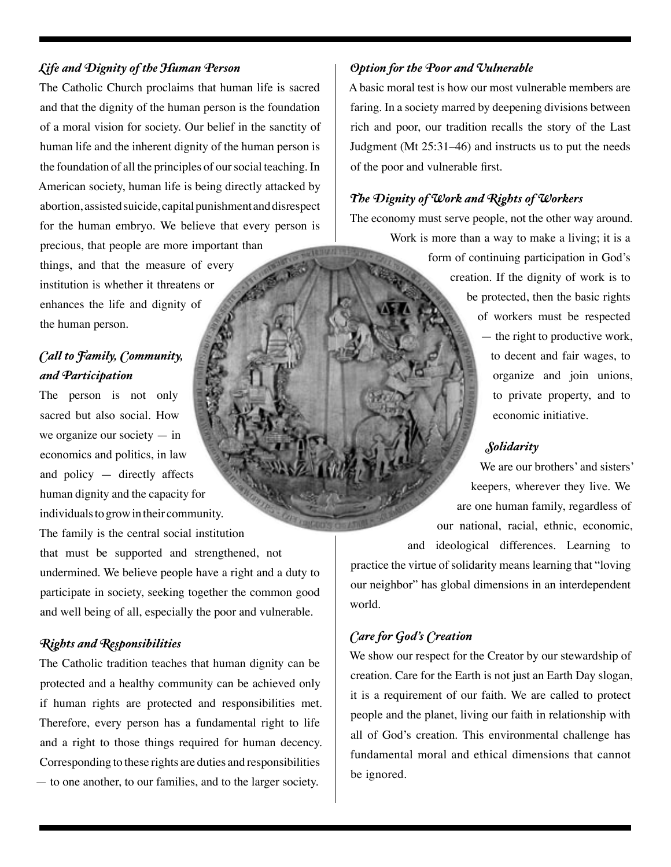#### *Life and Dignity of the Human Person*

The Catholic Church proclaims that human life is sacred and that the dignity of the human person is the foundation of a moral vision for society. Our belief in the sanctity of human life and the inherent dignity of the human person is the foundation of all the principles of our social teaching. In American society, human life is being directly attacked by abortion, assisted suicide, capital punishment and disrespect for the human embryo. We believe that every person is precious, that people are more important than

things, and that the measure of every institution is whether it threatens or enhances the life and dignity of the human person.

### *Call to Family, Community, and Participation*

The person is not only sacred but also social. How we organize our society — in economics and politics, in law and policy — directly affects human dignity and the capacity for individuals to grow in their community. The family is the central social institution

that must be supported and strengthened, not undermined. We believe people have a right and a duty to participate in society, seeking together the common good and well being of all, especially the poor and vulnerable.

#### *Rights and Responsibilities*

The Catholic tradition teaches that human dignity can be protected and a healthy community can be achieved only if human rights are protected and responsibilities met. Therefore, every person has a fundamental right to life and a right to those things required for human decency. Corresponding to these rights are duties and responsibilities — to one another, to our families, and to the larger society.

#### *Option for the Poor and Vulnerable*

A basic moral test is how our most vulnerable members are faring. In a society marred by deepening divisions between rich and poor, our tradition recalls the story of the Last Judgment (Mt 25:31–46) and instructs us to put the needs of the poor and vulnerable first.

### *The Dignity of Work and Rights of Workers*

The economy must serve people, not the other way around. Work is more than a way to make a living; it is a

form of continuing participation in God's creation. If the dignity of work is to be protected, then the basic rights of workers must be respected — the right to productive work, to decent and fair wages, to organize and join unions, to private property, and to economic initiative.

#### *Solidarity*

We are our brothers' and sisters' keepers, wherever they live. We are one human family, regardless of our national, racial, ethnic, economic, and ideological differences. Learning to practice the virtue of solidarity means learning that "loving our neighbor" has global dimensions in an interdependent

### *Care for God's Creation*

world.

We show our respect for the Creator by our stewardship of creation. Care for the Earth is not just an Earth Day slogan, it is a requirement of our faith. We are called to protect people and the planet, living our faith in relationship with all of God's creation. This environmental challenge has fundamental moral and ethical dimensions that cannot be ignored.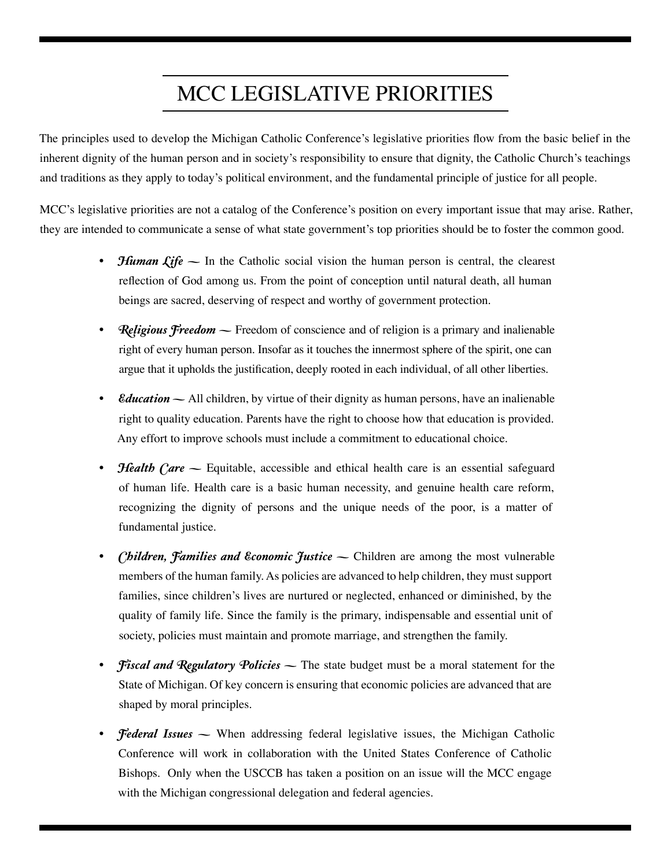# MCC LEGISLATIVE PRIORITIES

The principles used to develop the Michigan Catholic Conference's legislative priorities flow from the basic belief in the inherent dignity of the human person and in society's responsibility to ensure that dignity, the Catholic Church's teachings and traditions as they apply to today's political environment, and the fundamental principle of justice for all people.

MCC's legislative priorities are not a catalog of the Conference's position on every important issue that may arise. Rather, they are intended to communicate a sense of what state government's top priorities should be to foster the common good.

- *Human Life* In the Catholic social vision the human person is central, the clearest reflection of God among us. From the point of conception until natural death, all human beings are sacred, deserving of respect and worthy of government protection.
- *Religious Freedom* Freedom of conscience and of religion is a primary and inalienable right of every human person. Insofar as it touches the innermost sphere of the spirit, one can argue that it upholds the justification, deeply rooted in each individual, of all other liberties.
- *Education* All children, by virtue of their dignity as human persons, have an inalienable right to quality education. Parents have the right to choose how that education is provided. Any effort to improve schools must include a commitment to educational choice.
- *Health Care* Equitable, accessible and ethical health care is an essential safeguard of human life. Health care is a basic human necessity, and genuine health care reform, recognizing the dignity of persons and the unique needs of the poor, is a matter of fundamental justice.
- *Children, Families and Economic Justice Children are among the most vulnerable* members of the human family. As policies are advanced to help children, they must support families, since children's lives are nurtured or neglected, enhanced or diminished, by the quality of family life. Since the family is the primary, indispensable and essential unit of society, policies must maintain and promote marriage, and strengthen the family.
- *<i>fiscal and Regulatory Policies* The state budget must be a moral statement for the State of Michigan. Of key concern is ensuring that economic policies are advanced that are shaped by moral principles.
- *<i>Federal Issues* When addressing federal legislative issues, the Michigan Catholic Conference will work in collaboration with the United States Conference of Catholic Bishops. Only when the USCCB has taken a position on an issue will the MCC engage with the Michigan congressional delegation and federal agencies.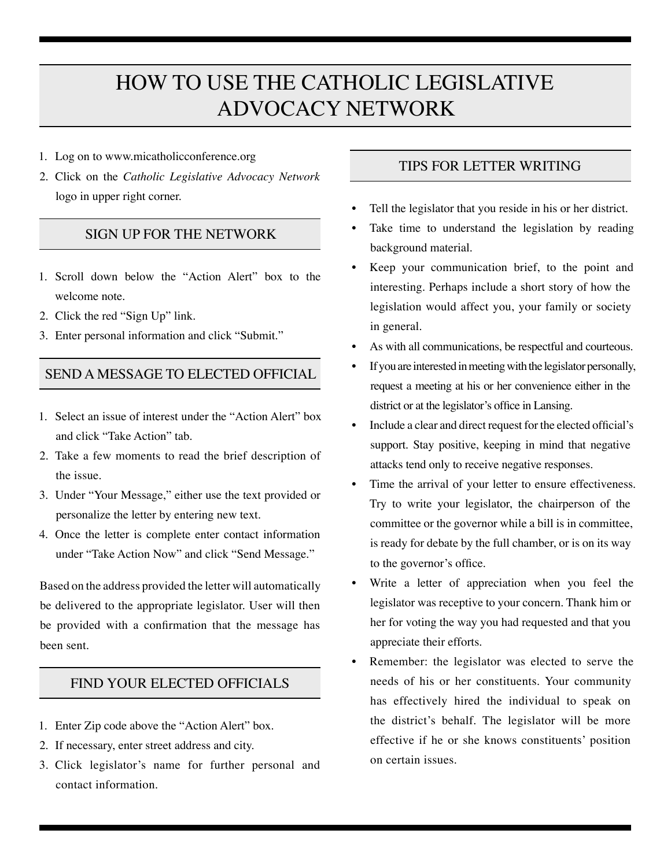# HOW TO USE THE CATHOLIC LEGISLATIVE ADVOCACY NETWORK

- 1. Log on to www.micatholicconference.org
- 2. Click on the *Catholic Legislative Advocacy Network* logo in upper right corner.

### SIGN UP FOR THE NETWORK

- 1. Scroll down below the "Action Alert" box to the welcome note.
- 2. Click the red "Sign Up" link.
- 3. Enter personal information and click "Submit."

### SEND A MESSAGE TO ELECTED OFFICIAL

- 1. Select an issue of interest under the "Action Alert" box and click "Take Action" tab.
- 2. Take a few moments to read the brief description of the issue.
- 3. Under "Your Message," either use the text provided or personalize the letter by entering new text.
- 4. Once the letter is complete enter contact information under "Take Action Now" and click "Send Message."

Based on the address provided the letter will automatically be delivered to the appropriate legislator. User will then be provided with a confirmation that the message has been sent.

### FIND YOUR ELECTED OFFICIALS

- 1. Enter Zip code above the "Action Alert" box.
- 2. If necessary, enter street address and city.
- 3. Click legislator's name for further personal and contact information.

### TIPS FOR LETTER WRITING

- Tell the legislator that you reside in his or her district.
- Take time to understand the legislation by reading background material.
- Keep your communication brief, to the point and interesting. Perhaps include a short story of how the legislation would affect you, your family or society in general.
- As with all communications, be respectful and courteous.
- If you are interested in meeting with the legislator personally, request a meeting at his or her convenience either in the district or at the legislator's office in Lansing.
- Include a clear and direct request for the elected official's support. Stay positive, keeping in mind that negative attacks tend only to receive negative responses.
- Time the arrival of your letter to ensure effectiveness. Try to write your legislator, the chairperson of the committee or the governor while a bill is in committee, is ready for debate by the full chamber, or is on its way to the governor's office.
- Write a letter of appreciation when you feel the legislator was receptive to your concern. Thank him or her for voting the way you had requested and that you appreciate their efforts.
- Remember: the legislator was elected to serve the needs of his or her constituents. Your community has effectively hired the individual to speak on the district's behalf. The legislator will be more effective if he or she knows constituents' position on certain issues.